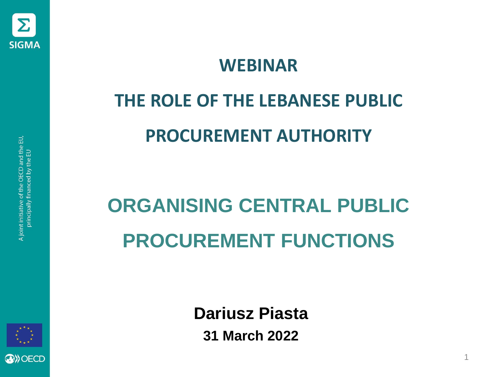

#### **WEBINAR**

# **THE ROLE OF THE LEBANESE PUBLIC PROCUREMENT AUTHORITY**

# **ORGANISING CENTRAL PUBLIC PROCUREMENT FUNCTIONS**



**Dariusz Piasta 31 March 2022**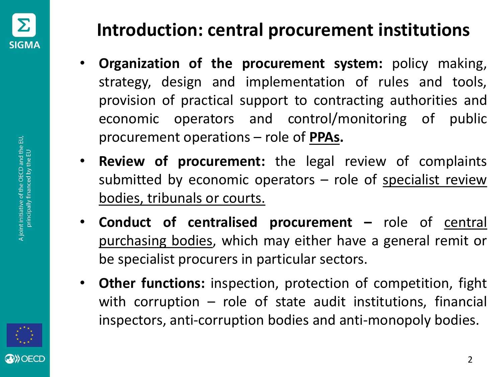

- **Organization of the procurement system:** policy making, strategy, design and implementation of rules and tools, provision of practical support to contracting authorities and economic operators and control/monitoring of public procurement operations – role of **PPAs.**
- **Review of procurement:** the legal review of complaints submitted by economic operators – role of specialist review bodies, tribunals or courts.
- **Conduct of centralised procurement –** role of central purchasing bodies, which may either have a general remit or be specialist procurers in particular sectors.
- **Other functions:** inspection, protection of competition, fight with corruption – role of state audit institutions, financial inspectors, anti-corruption bodies and anti-monopoly bodies.

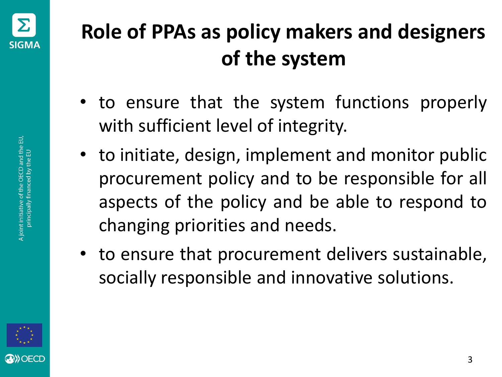

### **Role of PPAs as policy makers and designers of the system**

- to ensure that the system functions properly with sufficient level of integrity.
- to initiate, design, implement and monitor public procurement policy and to be responsible for all aspects of the policy and be able to respond to changing priorities and needs.
- to ensure that procurement delivers sustainable, socially responsible and innovative solutions.

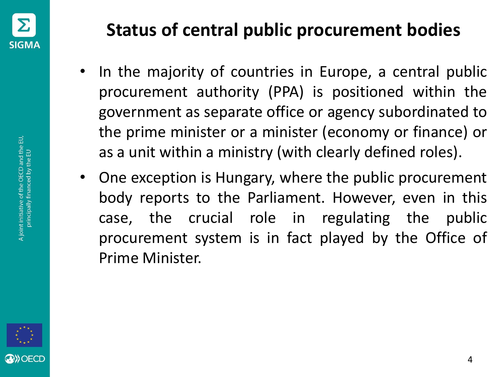

- In the majority of countries in Europe, a central public procurement authority (PPA) is positioned within the government as separate office or agency subordinated to the prime minister or a minister (economy or finance) or as a unit within a ministry (with clearly defined roles).
- One exception is Hungary, where the public procurement body reports to the Parliament. However, even in this case, the crucial role in regulating the public procurement system is in fact played by the Office of Prime Minister.

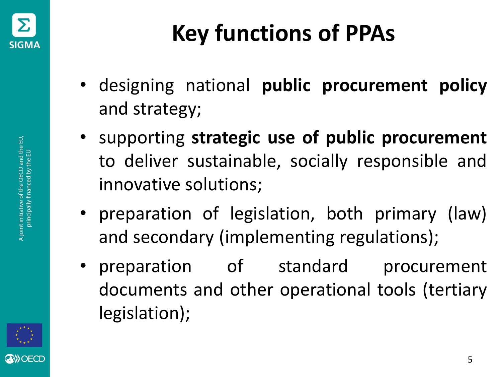

- designing national **public procurement policy** and strategy;
- supporting **strategic use of public procurement** to deliver sustainable, socially responsible and innovative solutions;
- preparation of legislation, both primary (law) and secondary (implementing regulations);
- preparation of standard procurement documents and other operational tools (tertiary legislation);

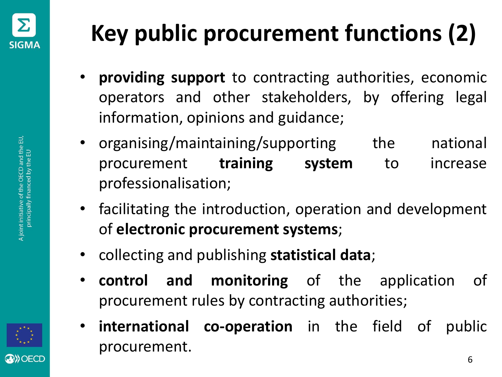

# **Key public procurement functions (2)**

- **providing support** to contracting authorities, economic operators and other stakeholders, by offering legal information, opinions and guidance;
- organising/maintaining/supporting the national procurement **training system** to increase professionalisation;
- facilitating the introduction, operation and development of **electronic procurement systems**;
- collecting and publishing **statistical data**;
- **control and monitoring** of the application of procurement rules by contracting authorities;
- **international co-operation** in the field of public procurement.

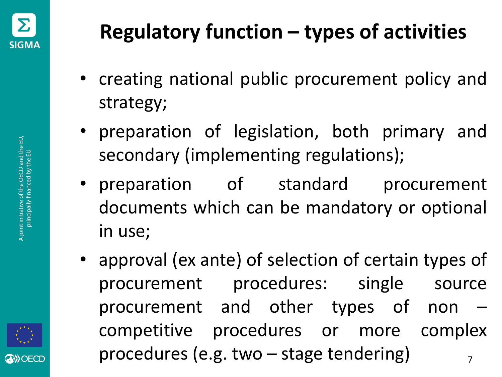

- creating national public procurement policy and strategy;
- preparation of legislation, both primary and secondary (implementing regulations);
- preparation of standard procurement documents which can be mandatory or optional in use;
- approval (ex ante) of selection of certain types of procurement procedures: single source procurement and other types of non – competitive procedures or more complex procedures (e.g. two  $-$  stage tendering)

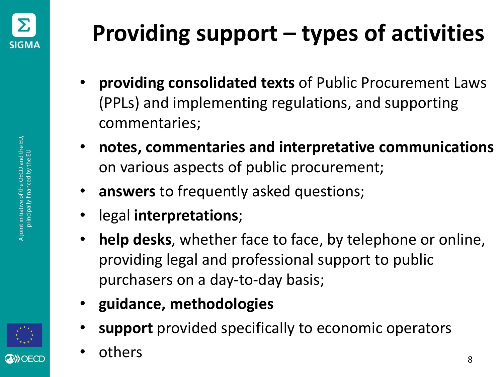

- **providing consolidated texts** of Public Procurement Laws (PPLs) and implementing regulations, and supporting commentaries;
- **notes, commentaries and interpretative communications**  on various aspects of public procurement;
- **answers** to frequently asked questions;
- legal **interpretations**;
- **help desks**, whether face to face, by telephone or online, providing legal and professional support to public purchasers on a day-to-day basis;
- **guidance, methodologies**
- **support** provided specifically to economic operators
- others 8

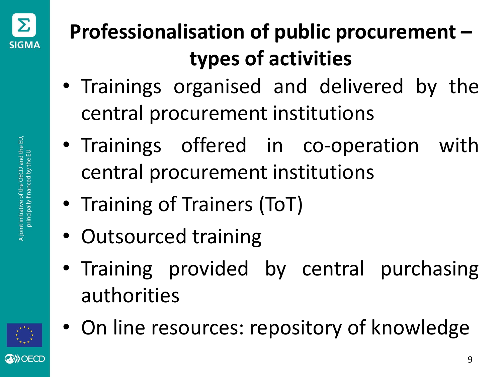

- Trainings organised and delivered by the central procurement institutions
- Trainings offered in co-operation with central procurement institutions
- Training of Trainers (ToT)
- Outsourced training
- Training provided by central purchasing authorities



• On line resources: repository of knowledge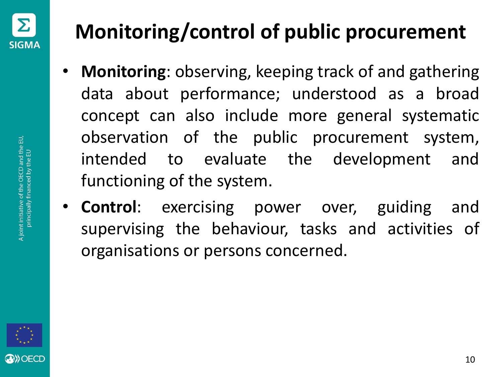

### **Monitoring/control of public procurement**

- **Monitoring**: observing, keeping track of and gathering data about performance; understood as a broad concept can also include more general systematic observation of the public procurement system, intended to evaluate the development and functioning of the system.
- **Control**: exercising power over, guiding and supervising the behaviour, tasks and activities of organisations or persons concerned.

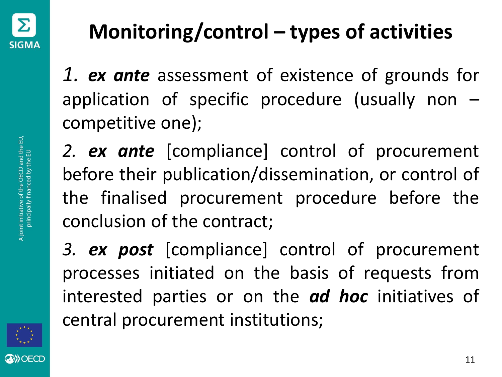

*1. ex ante* assessment of existence of grounds for application of specific procedure (usually non – competitive one);

*2. ex ante* [compliance] control of procurement before their publication/dissemination, or control of the finalised procurement procedure before the conclusion of the contract;

*3. ex post* [compliance] control of procurement processes initiated on the basis of requests from interested parties or on the *ad hoc* initiatives of central procurement institutions;

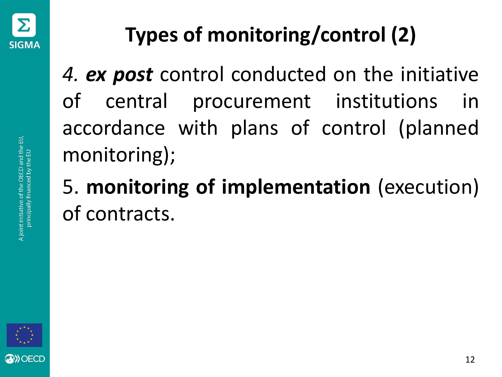

## **Types of monitoring/control (2)**

*4. ex post* control conducted on the initiative of central procurement institutions in accordance with plans of control (planned monitoring);

### 5. **monitoring of implementation** (execution) of contracts.